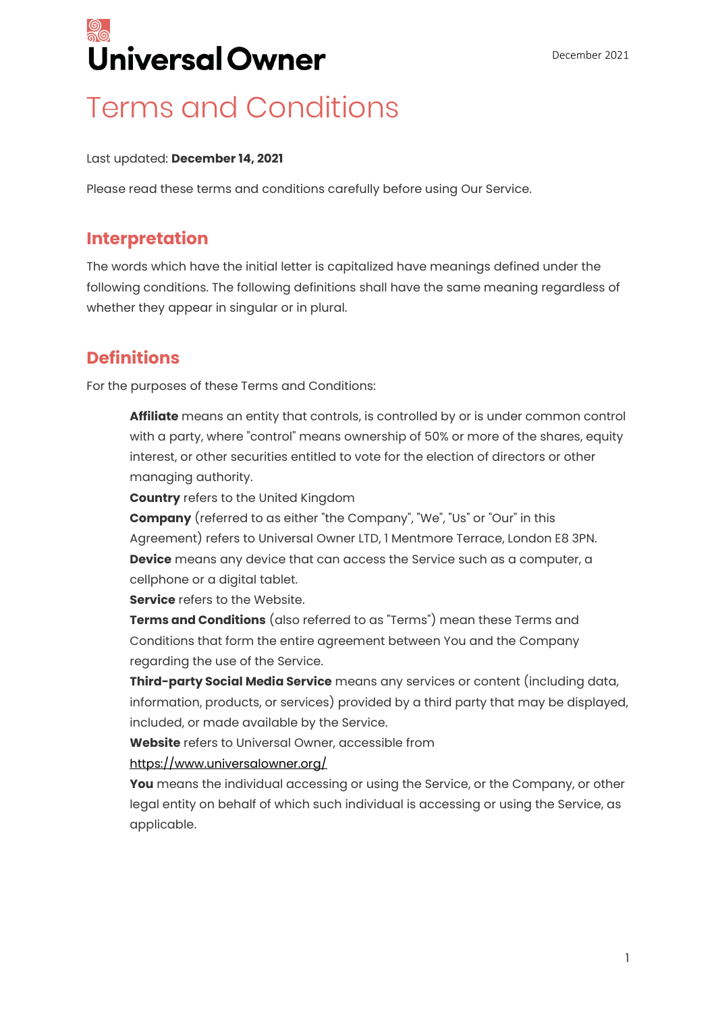

### Terms and Conditions

#### Last updated: **December 14, 2021**

Please read these terms and conditions carefully before using Our Service.

#### **Interpretation**

The words which have the initial letter is capitalized have meanings defined under the following conditions. The following definitions shall have the same meaning regardless of whether they appear in singular or in plural.

### **Definitions**

For the purposes of these Terms and Conditions:

**Affiliate** means an entity that controls, is controlled by or is under common control with a party, where "control" means ownership of 50% or more of the shares, equity interest, or other securities entitled to vote for the election of directors or other managing authority.

**Country** refers to the United Kingdom

**Company** (referred to as either "the Company", "We", "Us" or "Our" in this Agreement) refers to Universal Owner LTD, 1 Mentmore Terrace, London E8 3PN. **Device** means any device that can access the Service such as a computer, a cellphone or a digital tablet.

**Service** refers to the Website.

**Terms and Conditions** (also referred to as "Terms") mean these Terms and Conditions that form the entire agreement between You and the Company regarding the use of the Service.

**Third-party Social Media Service** means any services or content (including data, information, products, or services) provided by a third party that may be displayed, included, or made available by the Service.

**Website** refers to Universal Owner, accessible from

<https://www.universalowner.org/>

**You** means the individual accessing or using the Service, or the Company, or other legal entity on behalf of which such individual is accessing or using the Service, as applicable.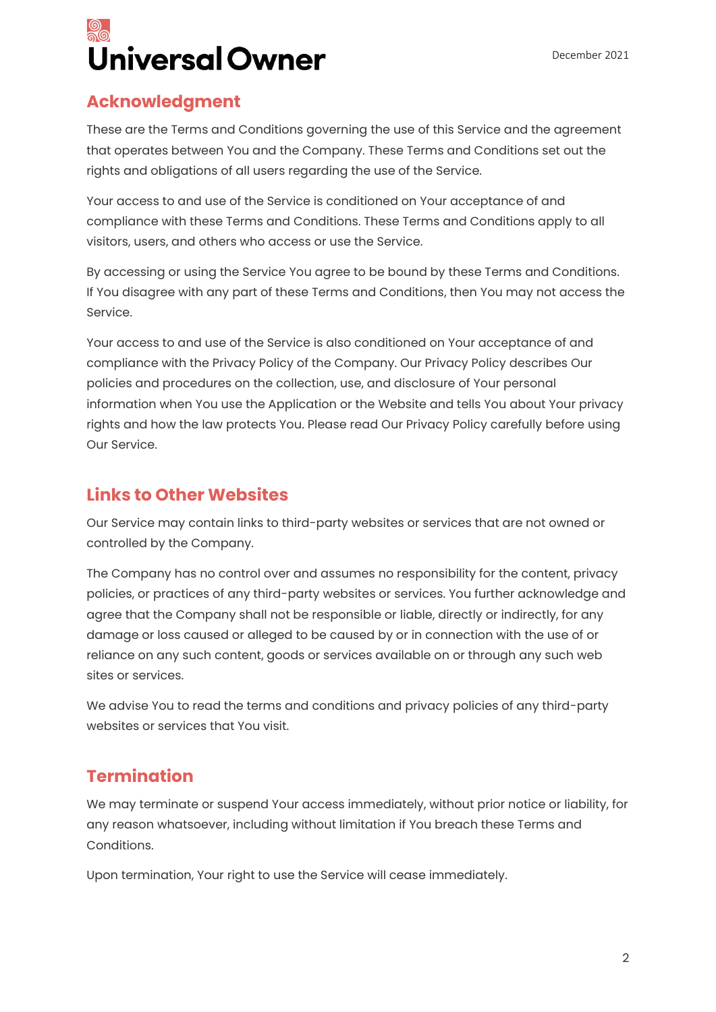## Universal Owner

### **Acknowledgment**

These are the Terms and Conditions governing the use of this Service and the agreement that operates between You and the Company. These Terms and Conditions set out the rights and obligations of all users regarding the use of the Service.

Your access to and use of the Service is conditioned on Your acceptance of and compliance with these Terms and Conditions. These Terms and Conditions apply to all visitors, users, and others who access or use the Service.

By accessing or using the Service You agree to be bound by these Terms and Conditions. If You disagree with any part of these Terms and Conditions, then You may not access the Service.

Your access to and use of the Service is also conditioned on Your acceptance of and compliance with the Privacy Policy of the Company. Our Privacy Policy describes Our policies and procedures on the collection, use, and disclosure of Your personal information when You use the Application or the Website and tells You about Your privacy rights and how the law protects You. Please read Our Privacy Policy carefully before using Our Service.

### **Links to Other Websites**

Our Service may contain links to third-party websites or services that are not owned or controlled by the Company.

The Company has no control over and assumes no responsibility for the content, privacy policies, or practices of any third-party websites or services. You further acknowledge and agree that the Company shall not be responsible or liable, directly or indirectly, for any damage or loss caused or alleged to be caused by or in connection with the use of or reliance on any such content, goods or services available on or through any such web sites or services.

We advise You to read the terms and conditions and privacy policies of any third-party websites or services that You visit.

### **Termination**

We may terminate or suspend Your access immediately, without prior notice or liability, for any reason whatsoever, including without limitation if You breach these Terms and Conditions.

Upon termination, Your right to use the Service will cease immediately.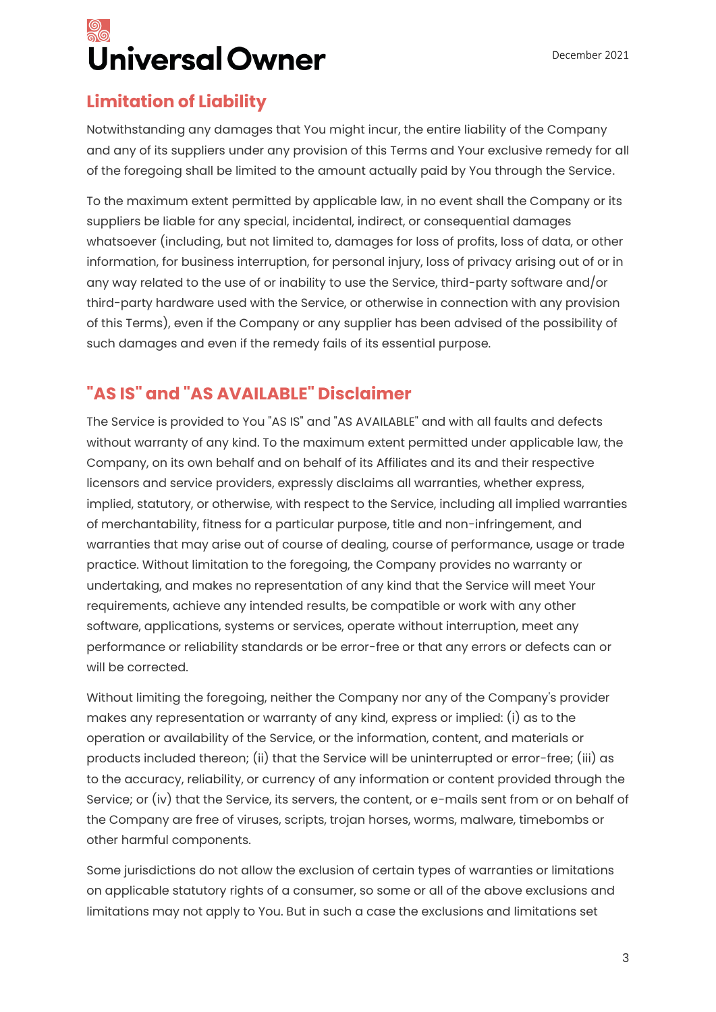## Universal Owner

### **Limitation of Liability**

Notwithstanding any damages that You might incur, the entire liability of the Company and any of its suppliers under any provision of this Terms and Your exclusive remedy for all of the foregoing shall be limited to the amount actually paid by You through the Service.

To the maximum extent permitted by applicable law, in no event shall the Company or its suppliers be liable for any special, incidental, indirect, or consequential damages whatsoever (including, but not limited to, damages for loss of profits, loss of data, or other information, for business interruption, for personal injury, loss of privacy arising out of or in any way related to the use of or inability to use the Service, third-party software and/or third-party hardware used with the Service, or otherwise in connection with any provision of this Terms), even if the Company or any supplier has been advised of the possibility of such damages and even if the remedy fails of its essential purpose.

### **"AS IS" and "AS AVAILABLE" Disclaimer**

The Service is provided to You "AS IS" and "AS AVAILABLE" and with all faults and defects without warranty of any kind. To the maximum extent permitted under applicable law, the Company, on its own behalf and on behalf of its Affiliates and its and their respective licensors and service providers, expressly disclaims all warranties, whether express, implied, statutory, or otherwise, with respect to the Service, including all implied warranties of merchantability, fitness for a particular purpose, title and non-infringement, and warranties that may arise out of course of dealing, course of performance, usage or trade practice. Without limitation to the foregoing, the Company provides no warranty or undertaking, and makes no representation of any kind that the Service will meet Your requirements, achieve any intended results, be compatible or work with any other software, applications, systems or services, operate without interruption, meet any performance or reliability standards or be error-free or that any errors or defects can or will be corrected.

Without limiting the foregoing, neither the Company nor any of the Company's provider makes any representation or warranty of any kind, express or implied: (i) as to the operation or availability of the Service, or the information, content, and materials or products included thereon; (ii) that the Service will be uninterrupted or error-free; (iii) as to the accuracy, reliability, or currency of any information or content provided through the Service; or (iv) that the Service, its servers, the content, or e-mails sent from or on behalf of the Company are free of viruses, scripts, trojan horses, worms, malware, timebombs or other harmful components.

Some jurisdictions do not allow the exclusion of certain types of warranties or limitations on applicable statutory rights of a consumer, so some or all of the above exclusions and limitations may not apply to You. But in such a case the exclusions and limitations set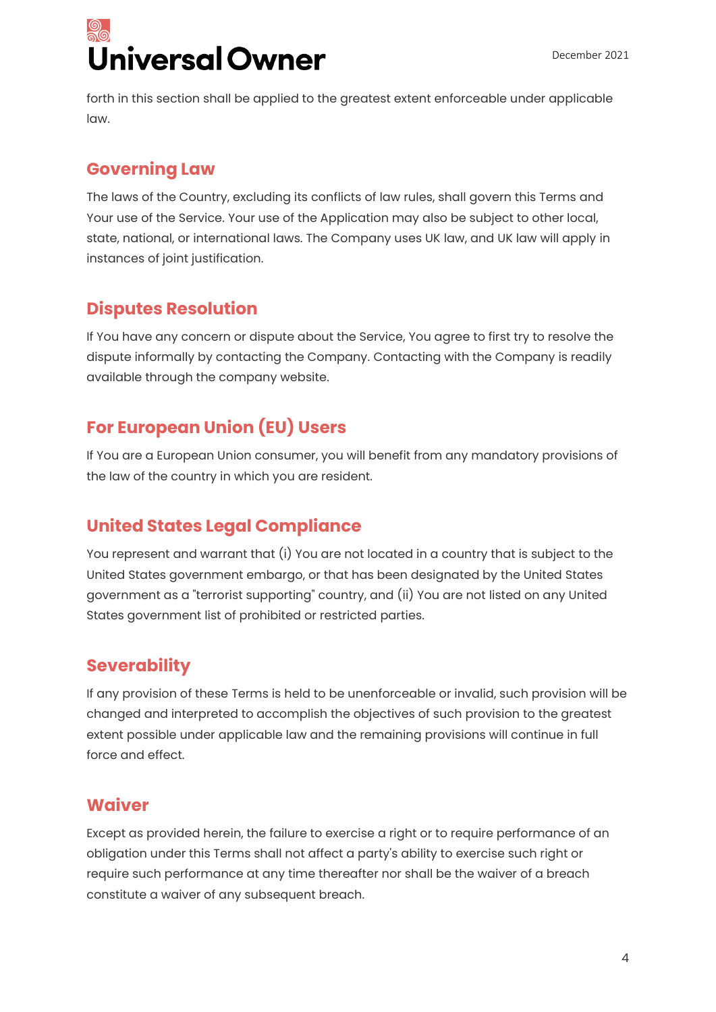# Jniversal Owner

forth in this section shall be applied to the greatest extent enforceable under applicable law.

### **Governing Law**

The laws of the Country, excluding its conflicts of law rules, shall govern this Terms and Your use of the Service. Your use of the Application may also be subject to other local, state, national, or international laws. The Company uses UK law, and UK law will apply in instances of joint justification.

### **Disputes Resolution**

If You have any concern or dispute about the Service, You agree to first try to resolve the dispute informally by contacting the Company. Contacting with the Company is readily available through the company website.

### **For European Union (EU) Users**

If You are a European Union consumer, you will benefit from any mandatory provisions of the law of the country in which you are resident.

### **United States Legal Compliance**

You represent and warrant that (i) You are not located in a country that is subject to the United States government embargo, or that has been designated by the United States government as a "terrorist supporting" country, and (ii) You are not listed on any United States government list of prohibited or restricted parties.

### **Severability**

If any provision of these Terms is held to be unenforceable or invalid, such provision will be changed and interpreted to accomplish the objectives of such provision to the greatest extent possible under applicable law and the remaining provisions will continue in full force and effect.

### **Waiver**

Except as provided herein, the failure to exercise a right or to require performance of an obligation under this Terms shall not affect a party's ability to exercise such right or require such performance at any time thereafter nor shall be the waiver of a breach constitute a waiver of any subsequent breach.